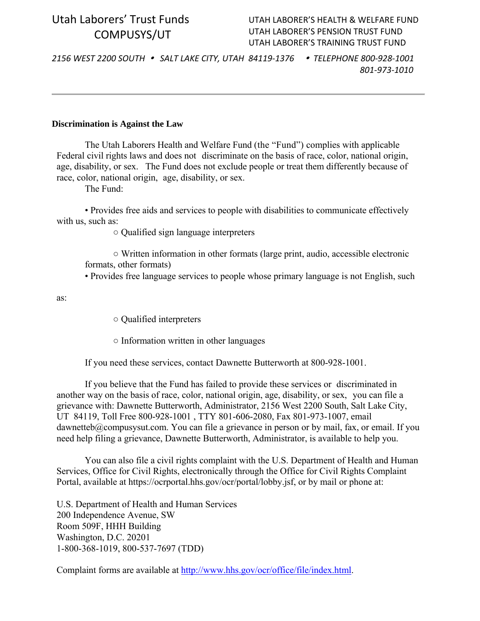# Utah Laborers' Trust Funds COMPUSYS/UT

## UTAH LABORER'S HEALTH & WELFARE FUND UTAH LABORER'S PENSION TRUST FUND UTAH LABORER'S TRAINING TRUST FUND

2156 WEST 2200 SOUTH . SALT LAKE CITY, UTAH 84119-1376 . TELEPHONE 800-928-1001 *801‐973‐1010*

#### **Discrimination is Against the Law**

The Utah Laborers Health and Welfare Fund (the "Fund") complies with applicable Federal civil rights laws and does not discriminate on the basis of race, color, national origin, age, disability, or sex. The Fund does not exclude people or treat them differently because of race, color, national origin, age, disability, or sex.

The Fund:

• Provides free aids and services to people with disabilities to communicate effectively with us, such as:

○ Qualified sign language interpreters

○ Written information in other formats (large print, audio, accessible electronic formats, other formats)

• Provides free language services to people whose primary language is not English, such

as:

○ Qualified interpreters

○ Information written in other languages

If you need these services, contact Dawnette Butterworth at 800-928-1001.

If you believe that the Fund has failed to provide these services or discriminated in another way on the basis of race, color, national origin, age, disability, or sex, you can file a grievance with: Dawnette Butterworth, Administrator, 2156 West 2200 South, Salt Lake City, UT 84119, Toll Free 800-928-1001 , TTY 801-606-2080, Fax 801-973-1007, email dawnetteb@compusysut.com. You can file a grievance in person or by mail, fax, or email. If you need help filing a grievance, Dawnette Butterworth, Administrator, is available to help you.

You can also file a civil rights complaint with the U.S. Department of Health and Human Services, Office for Civil Rights, electronically through the Office for Civil Rights Complaint Portal, available at https://ocrportal.hhs.gov/ocr/portal/lobby.jsf, or by mail or phone at:

U.S. Department of Health and Human Services 200 Independence Avenue, SW Room 509F, HHH Building Washington, D.C. 20201 1-800-368-1019, 800-537-7697 (TDD)

Complaint forms are available at http://www.hhs.gov/ocr/office/file/index.html.